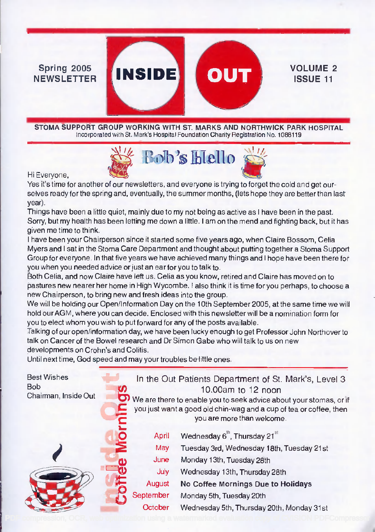#### $Spring 2005$  **INSIDE** NEWSLETTER

STOMA SUPPORT GROUP WORKING WITH ST. MARKS AND NORTHWICK PARK HOSPITAL Incorporated with St. Mark's Hospital Foundation Charity Registration No. 1088119

VOLUME 2 ISSUE 11



Hi Everyone,

Yes it's time for another of our newsletters, and everyone is trying to forget the cold and get ourselves ready for the spring and, eventually, the summer months, (lets hope they are better than last year).

Things have been a little quiet, mainly due to my not being as active as I have been in the past. Sorry, but my health has been letting me down a little. I am on the mend and fighting back, but it has given me time to think.

I have been your Chairperson since it started some five years ago, when Claire Bossom, Celia Myers and I sat in the Stoma Care Department and thought about putting together a Stoma Support Group for everyone. In that five years we have achieved many things and I hope have been there for you when you needed advice or just an ear for you to talk to.

Both Celia, and now Claire have left us. Celia as you know, retired and Claire has moved on to pastures new nearer her home in High Wycombe. I also think it is time for you perhaps, to choose a new Chairperson, to bring new and fresh ideas into the group.

We will be holding our Open/Information Day on the 10th September 2005, at the same time we will hold ourAGM, where you can decide. Enclosed with this newsletter will be a nomination form for you to elect whom you wish to put forward for any of the posts available.

Talking of our open/information day, we have been lucky enough to get Professor John Northover to talk on Cancer of the Bowel research and Dr Simon Gabe who will talk to us on new developments on Crohn's and Colitis.

Until next time, God speed and may your troubles be little ones.

| <b>Best Wishes</b><br><b>Bob</b><br>Chairman, Inside Out | ŋ<br>듣 |           | In the Out Patients Department of St. Mark's, Level 3<br>10.00am to 12 noon<br>We are there to enable you to seek advice about your stomas, or if<br>you just want a good old chin-wag and a cup of tea or coffee, then<br>you are more than welcome. |
|----------------------------------------------------------|--------|-----------|-------------------------------------------------------------------------------------------------------------------------------------------------------------------------------------------------------------------------------------------------------|
|                                                          | O      | April     | Wednesday 6", Thursday 21st                                                                                                                                                                                                                           |
|                                                          |        | May       | Tuesday 3rd, Wednesday 18th, Tuesday 21st                                                                                                                                                                                                             |
|                                                          |        | June      | Monday 13th, Tuesday 28th                                                                                                                                                                                                                             |
|                                                          |        | July      | Wednesday 13th, Thursday 28th                                                                                                                                                                                                                         |
|                                                          |        | August    | No Coffee Mornings Due to Holidays                                                                                                                                                                                                                    |
|                                                          |        | September | Monday 5th, Tuesday 20th                                                                                                                                                                                                                              |
|                                                          |        | October   | Wednesday 5th, Thursday 20th, Monday 31st                                                                                                                                                                                                             |
|                                                          |        |           |                                                                                                                                                                                                                                                       |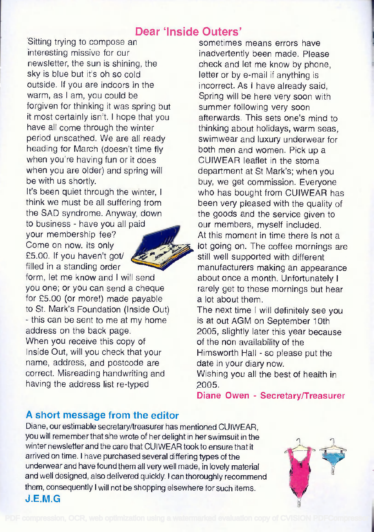# Dear 'Inside Outers'

Sitting trying to compose an interesting missive for our newsletter, the sun is shining, the sky is blue but it's oh so cold outside. If you are indoors in the warm, as I am, you could be forgiven for thinking it was spring but it most certainly isn't. I hope that you have all come through the winter period unscathed. We are all ready heading for March (doesn't time fly when you're having fun or it does when you are older) and spring will be with us shortly.

It's been quiet through the winter, <sup>I</sup> think we must be all suffering from the SAD syndrome. Anyway, down to business - have you all paid

your membership fee? Come on now. Its only £5.00. If you haven't got/ filled in a standing order

form, let me know and I will send you one; or you can send a cheque for £5.00 (or more!) made payable to St. Mark's Foundation (Inside Out) - this can be sent to me at my home address on the back page. When you receive this copy of Inside Out, will you check that your name, address, and postcode are correct. Misreading handwriting and having the address list re-typed

sometimes means errors have inadvertently been made. Please check and let me know by phone, letter or by e-mail if anything is incorrect. As I have already said, Spring will be here very soon with summer following very soon afterwards. This sets one's mind to thinking about holidays, warm seas, swimwear and luxury underwear for both men and women. Pick up a CUIWEAR leaflet in the stoma department at St Mark's; when you buy, we get commission. Everyone who has bought from CUIWEAR has been very pleased with the quality of the goods and the service given to our members, myself included. At this moment in time there is not a lot going on. The coffee mornings are still well supported with different manufacturers making an appearance about once a month. Unfortunately I rarely get to these mornings but hear a lot about them. The next time I will definitely see you

is at out AGM on September 10th 2005, slightly later this year because of the non availability of the Himsworth Hall - so please put the date in your diary now.

Wishing you all the best of health in 2005.

Diane Owen - Secretary/Treasurer

#### A short message from the editor

Diane, our estimable secretary/treasurer has mentioned CUIWEAR, you will remember that she wrote of her delight in her swimsuit in the winter newsletter and the care that CUIWEAR took to ensure that it arrived on time. I have purchased several differing types of the underwear and have found them all very well made, in lovely material and well designed, also delivered quickly. I can thoroughly recommend them, consequently I will not be shopping elsewhere for such items. J.E.M.G

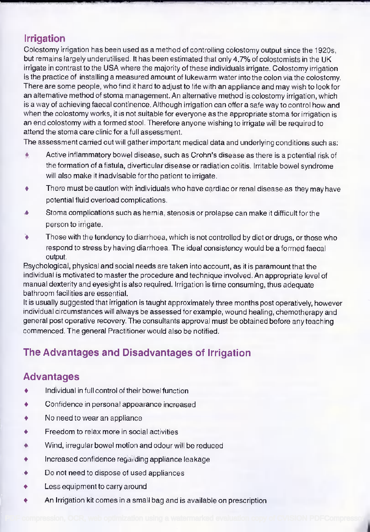# Irrigation

Colostomy irrigation has been used as a method of controlling colostomy output since the 1920s, but remains largely underutilised. It has been estimated that only 4.7% of colostomists in the UK irrigate in contrast to the USA where the majority of these individuals irrigate. Colostomy irrigation is the practice of installing a measured amount of lukewarm water into the colon via the colostomy. There are some people, who find it hard to adjust to life with an appliance and may wish to look for an alternative method of stoma management. An alternative method is colostomy irrigation, which is a way of achieving faecal continence. Although irrigation can offer a safe way to control how and when the colostomy works, it is not suitable for everyone as the appropriate stoma for irrigation is an end colostomy with a formed stool. Therefore anyone wishing to irrigate will be required to attend the stoma care clinic for a full assessment.

The assessment carried out will gather important medical data and underlying conditions such as:

- Active inflammatory bowel disease, such as Crohn's disease as there is a potential risk of  $\ddot{\bullet}$ the formation of a fistula, diverticular disease or radiation colitis. Irritable bowel syndrome will also make it inadvisable for the patient to irrigate.
- There must be caution with individuals who have cardiac or renal disease as they may have ۰ potential fluid overload complications.
- Stoma complications such as hernia, stenosis or prolapse can make it difficult forthe ▲ person to irrigate.
- Those with the tendency to diarrhoea, which is not controlled by diet or drugs, or those who Ά respond to stress by having diarrhoea. The ideal consistency would be a formed faecal output.

Psychological, physical and social needs are taken into account, as it is paramount that the individual is motivated to master the procedure and technique involved. An appropriate level of manual dexterity and eyesight is also required. Irrigation is time consuming, thus adequate bathroom facilities are essential.

It is usually suggested that irrigation is taught approximately three months post operatively, however individual circumstances will always be assessed for example, wound healing, chemotherapy and general post operative recovery. The consultants approval must be obtained before any teaching commenced. The general Practitioner would also be notified.

# The Advantages and Disadvantages of Irrigation

# Advantages

- ۰ Individual in full control of their bowel function
- ۰ Confidence in personal appearance increased
- No need to wear an appliance  $\ddot{\bullet}$
- Freedom to relax more in social activities ۰
- Wind, irregular bowel motion and odour will be reduced  $\spadesuit$
- ۰ Increased confidence regarding appliance leakage
- ۰ Do not need to dispose of used appliances
- Less equipment to carry around ٠
- An Irrigation kit comes in a small bag and is available on prescription ٠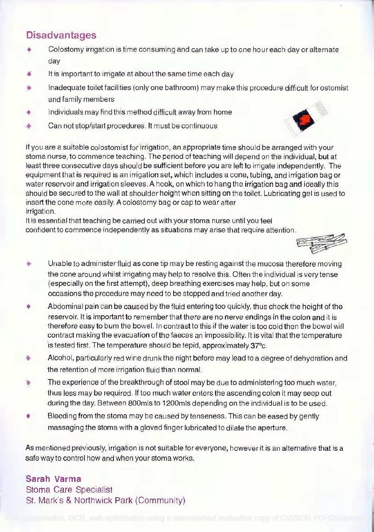### Disadvantages

- Colostomy irrigation is time consuming and can take up to one hour each day or alternate ۰ day
- It is important to irrigate at about the same time each day ◢
- Inadequate toilet facilities (only one bathroom) may make this procedure difficult for ostomist and family members
- Individuals may find this method difficult away from home ۸
- Can not stop/start procedures. It must be continuous ۵

If you are a suitable colostomist for irrigation, an appropriate time should be arranged with your stoma nurse, to commence teaching. The period of teaching will depend on the individual, but at least three consecutive days should be sufficient before you are left to irrigate independently. The equipment that is required is an irrigation set, which includes a cone, tubing, and irrigation bag or water reservoir and irrigation sleeves. A hook, on which to hang the irrigation bag and ideally this should be secured to the wall at shoulder height when sitting on the toilet. Lubricating gel is used to insert the cone more easily. A colostomy bag or cap to wear after irrigation.

It is essential that teaching be carried out with your stoma nurse until you feel confident to commence independently as situations may arise that require attention.

- $\bullet$ Unable to administer fluid as cone tip may be resting against the mucosa therefore moving the cone around whilst irrigating may help to resolve this. Often the individual is very tense (especially on the first attempt), deep breathing exercises may help, but on some occasions the procedure may need to be stopped and tried another day.
- Abdominal pain can be caused by the fluid entering too quickly, thus check the height of the ٠ reservoir. It is important to remember that there are no nerve endings in the colon and it is therefore easy to bum the bowel. In contrast to this if the water is too cold then the bowel will contract making the evacuation of the faeces an impossibility. It is vital that the temperature is tested first. The temperature should be tepid, approximately 37°c.
- Alcohol, particularly red wine drunk the night before may lead to a degree of dehydration and the retention of more irrigation fluid than normal.
- The experience of the breakthrough of stool may be due to administering too much water, ۷ thus less may be required. If too much water enters the ascending colon it may seep out during the day. Between 800mls to 1200mls depending on the individual is to be used.
- Bleeding from the stoma may be caused by tenseness. This can be eased by gently massaging the stoma with a gloved finger lubricated to dilate the aperture.

As mentioned previously, irrigation is not suitable for everyone, however it is an alternative that is a safe way to control how and when your stoma works.

#### Sarah Varma

Stoma Care Specialist St. Mark's & Northwick Park (Community)



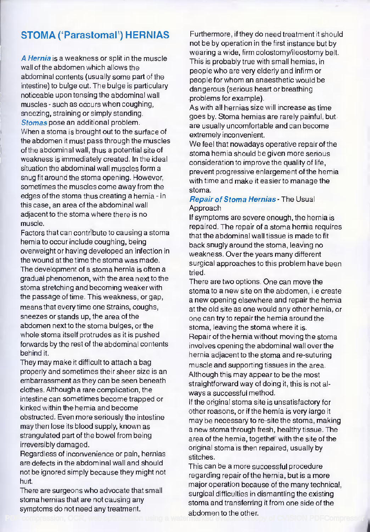# STOMA (Parastomal') HERNIAS

A Hernia is a weakness or split in the muscle wall of the abdomen which allows the abdominal contents (usually some part of the intestine) to bulge out. The bulge is particulary noticeable upon tensing the abdominal wall muscles - such as occurs when coughing, sneezing, straining or simply standing. Stomas pose an additional problem. When a stoma is brought out to the surface of the abdomen it must pass through the muscles of the abdominal wall, thus a potential site of weakness is immediately created. In the ideal situation the abdominal wall muscles form a snug fit around the stoma opening. However, sometimes the muscles come away from the edges of the stoma thus creating a hernia - in this case, an area of the abdominal wall adjacent to the stoma where there is no muscle.

Factors that can contribute to causing a stoma hernia to occur include coughing, being overweight or having developed an infection in the wound at the time the stoma was made. The development of a stoma hernia is often a gradual phenomenon, with the area next to the stoma stretching and becoming weaker with the passage of time. This weakness, or gap, means that every time one Strains, coughs, sneezes or stands up, the area of the abdomen next to the stoma bulges, or the whole stoma itself protrudes as it is pushed forwards by the rest of the abdominal contents behind it.

They may make it difficult to attach a bag properly and sometimes their sheer size is an embarrassment as they can be seen beneath clothes. Although a rare complication, the intestine can sometimes become trapped or kinked within the hernia and become obstructed. Even more seriously the intestine may then lose its blood supply, known as strangulated part of the bowel from being irreversibly damaged.

Regardless of inconvenience or pain, hernias are defects in the abdominal wall and should not be ignored simply because they might not hurt.

There are surgeons who advocate that small stoma hernias that are not causing any symptoms do not need any treatment.

Furthermore, if they do need treatment it should not be by operation in the first instance but by wearing a wide, firm colostomy/ileostomy belt. This is probably true with small hernias, in people who are very elderly and infirm or people for whom an anaesthetic would be dangerous (serious heart or breathing problems for example).

As with all hernias size will increase as time goes by. Stoma hernias are rarely painful, but are usually uncomfortable and can become extremely inconvenient.

We feel that nowadays operative repair of the stoma hernia should be given more serious consideration to improve the quality of life, prevent progressive enlargement of the hernia with time and make it easier to manage the stoma.

#### Repair of Stoma Hernias - The Usual Approach

If symptoms are severe enough, the hernia is repaired. The repair of a stoma hernia requires that the abdominal wall tissue is made to fit back snugly around the stoma, leaving no weakness. Over the years many different surgical approaches to this problem have been tried.

There are two options. One can move the stoma to a new site on the abdomen, i.e create a new opening elsewhere and repair the hernia at the old site as one would any other hernia, or one can try to repairthe hernia around the stoma, leaving the stoma where it is. Repair of the hernia without moving the stoma involves opening the abdominal wall over the hernia adjacent to the stoma and re-suturing muscle and supporting tissues in the area. Although this may appear to be the most straightforward way of doing it, this is not always a successful method.

If the original stoma site is unsatisfactory for other reasons, or if the hernia is very large it may be necessary to re-site the stoma, making a new stoma through fresh, healthy tissue. The area of the hernia, together with the site of the original stoma is then repaired, usually by stitches.

This can be a more successful procedure regarding repair of the hernia, but is a more major operation because of the many technical, surgical difficulties in dismantling the existing stoma and transferring it from one side of the abdomen to the other.<br>[PDF compression, OCR, web optimization using a watermarked evaluation copy of CVISION PDFCompressor](http://www.cvisiontech.com/)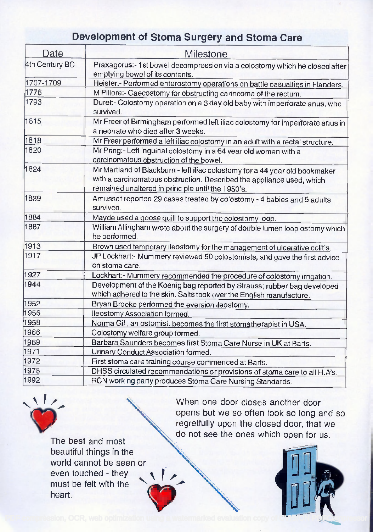# Development of Stoma Surgery and Stoma Care

| Date           | Milestone                                                                                                                                                                                                 |  |  |  |
|----------------|-----------------------------------------------------------------------------------------------------------------------------------------------------------------------------------------------------------|--|--|--|
| 4th Century BC | Praxagorus:- 1st bowel decompression via a colostomy which he closed after                                                                                                                                |  |  |  |
|                | emptying bowel of its contents.                                                                                                                                                                           |  |  |  |
| 1707-1709      | Heister:- Performed enterostomy operations on battle casualties in Flanders.                                                                                                                              |  |  |  |
| 1776           | M Pillore:- Caecostomy for obstructing carincoma of the rectum.                                                                                                                                           |  |  |  |
| 1793           | Duret:- Colostomy operation on a 3 day old baby with imperforate anus, who<br>survived.                                                                                                                   |  |  |  |
| 1815           | Mr Freer of Birmingham performed left iliac colostomy for imperforate anus in<br>a neonate who died after 3 weeks.                                                                                        |  |  |  |
| 1818           | Mr Freer performed a left iliac colostomy in an adult with a rectal structure.                                                                                                                            |  |  |  |
| 1820           | Mr Pring:- Left inguinal colostomy in a 64 year old woman with a<br>carcinomatous obstruction of the bowel.                                                                                               |  |  |  |
| 1824           | Mr Martland of Blackburn - left iliac colostomy for a 44 year old bookmaker<br>with a carcinomatous obstruction. Described the appliance used, which<br>remained unaltered in principle until the 1950's. |  |  |  |
| 1839           | Amussat reported 29 cases treated by colostomy - 4 babies and 5 adults<br>survived.                                                                                                                       |  |  |  |
| 1884           | Mayde used a goose quill to support the colostomy loop.                                                                                                                                                   |  |  |  |
| 1887           | William Allingham wrote about the surgery of double lumen loop ostomy which<br>he performed.                                                                                                              |  |  |  |
| 1913           | Brown used temporary ileostomy for the management of ulcerative colitis.                                                                                                                                  |  |  |  |
| 1917           | JP Lockhart:- Mummery reviewed 50 colostomists, and gave the first advice<br>on stoma care.                                                                                                               |  |  |  |
| 1927           | Lockhart:- Mummery recommended the procedure of colostomy irrigation.                                                                                                                                     |  |  |  |
| 1944           | Development of the Koenig bag reported by Strauss; rubber bag developed<br>which adhered to the skin. Salts took over the English manufacture.                                                            |  |  |  |
| 1952           | Bryan Brooke performed the eversion ileostomy.                                                                                                                                                            |  |  |  |
| 1956           | lleostomy Association formed.                                                                                                                                                                             |  |  |  |
| 1958           | Norma Gill, an ostomist, becomes the first stomatherapist in USA.                                                                                                                                         |  |  |  |
| 1966           | Colostomy welfare group formed.                                                                                                                                                                           |  |  |  |
| 1969           | Barbara Saunders becomes first Stoma Care Nurse in UK at Barts.                                                                                                                                           |  |  |  |
| 1971           | Urinary Conduct Association formed.                                                                                                                                                                       |  |  |  |
| 1972           | First stoma care training course commenced at Barts.                                                                                                                                                      |  |  |  |
| 1978           | DHSS circulated recommendations or provisions of stoma care to all H.A's.                                                                                                                                 |  |  |  |
| 1992           | RCN working party produces Stoma Care Nursing Standards.                                                                                                                                                  |  |  |  |
|                |                                                                                                                                                                                                           |  |  |  |



When one door closes another door opens but we so often look so long and so regretfully upon the closed door, that we do not see the ones which open for us.

The best and most beautiful things in the world cannot be seen or even touched - they must be felt with the heart.

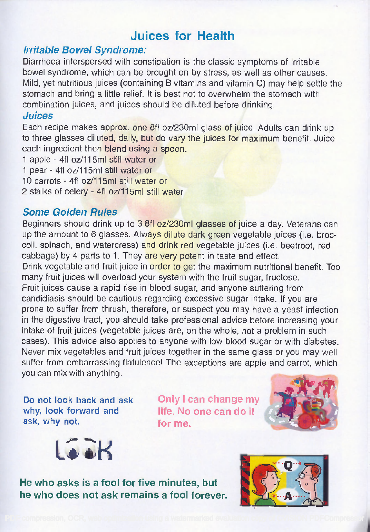# Juices for Health

#### Irritable Bowel Syndrome:

Diarrhoea interspersed with constipation is the classic symptoms of irritable bowel syndrome, which can be brought on by stress, as well as other causes. Mild, yet nutritious juices (containing B vitamins and vitamin C) may help settle the stomach and bring a little relief. It is best not to overwhelm the stomach with combination juices, and juices should be diluted before drinking.

#### Juices

Each recipe makes approx. one 8fl oz/230ml glass of juice. Adults can drink up to three glasses diluted, daily, but do vary the juices for maximum benefit. Juice each ingredient then blend using a spoon.

- 1 apple 4f1 oz/115m1 still water or
- 1 pear 4f1 oz/115m1 still water or
- 10 carrots 4fl oz/115ml still water or
- 2 stalks of celery 4fl oz/115m1 still water

#### Some Golden Rules

Beginners should drink up to 3 8fl oz/230m1 glasses of juice a day. Veterans can up the amount to 6 glasses. Always dilute dark green vegetable juices (i.e. broccoli, spinach, and watercress) and drink red vegetable juices (i.e. beetroot, red cabbage) by 4 parts to 1. They are very potent in taste and effect.

Drink vegetable and fruit juice in order to get the maximum nutritional benefit. Too many fruit juices will overload your system with the fruit sugar, fructose.

Fruit juices cause a rapid rise in blood sugar, and anyone suffering from candidiasis should be cautious regarding excessive sugar intake. If you are prone to suffer from thrush, therefore, or suspect you may have a yeast infection in the digestive tract, you should take professional advice before increasing your intake of fruit juices (vegetable juices are, on the whole, not a problem in such cases). This advice also applies to anyone with low blood sugar or with diabetes. Never mix vegetables and fruit juices together in the same glass or you may well suffer from embarrassing flatulence! The exceptions are apple and carrot, which you can mix with anything.

Do not look back and ask why, look forward and ask, why not.

Only I can change my life. No one can do it for me.





He who asks is a fool for five minutes, but he who does not ask remains a fool forever.